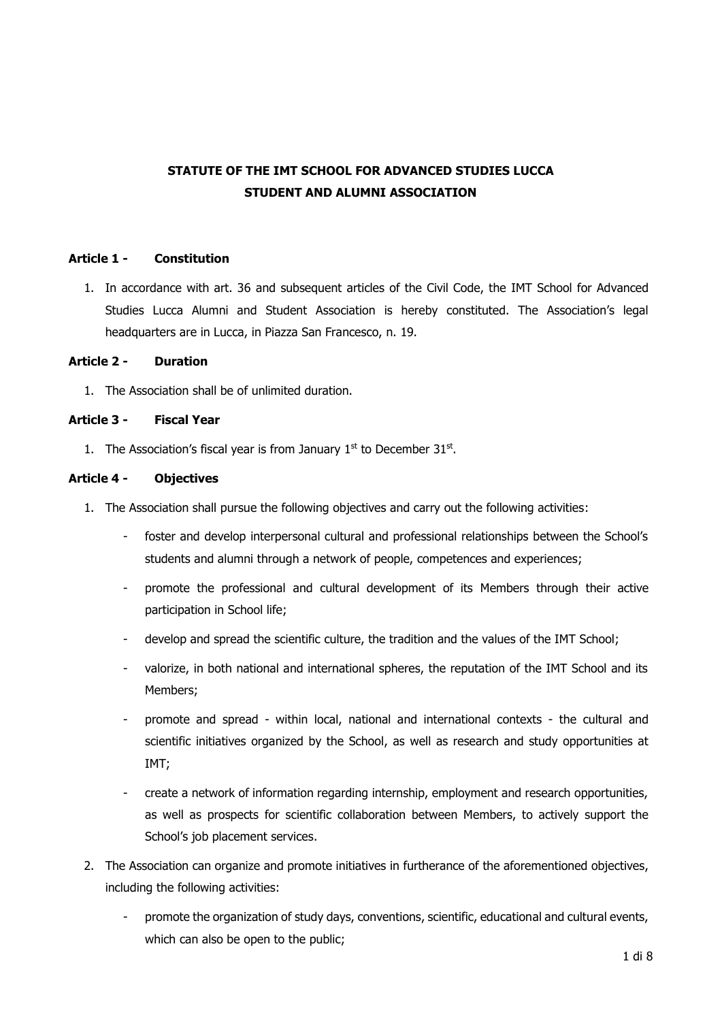# **STATUTE OF THE IMT SCHOOL FOR ADVANCED STUDIES LUCCA STUDENT AND ALUMNI ASSOCIATION**

# **Article 1 - Constitution**

1. In accordance with art. 36 and subsequent articles of the Civil Code, the IMT School for Advanced Studies Lucca Alumni and Student Association is hereby constituted. The Association's legal headquarters are in Lucca, in Piazza San Francesco, n. 19.

#### **Article 2 - Duration**

1. The Association shall be of unlimited duration.

#### **Article 3 - Fiscal Year**

1. The Association's fiscal year is from January  $1<sup>st</sup>$  to December 31 $<sup>st</sup>$ .</sup>

#### **Article 4 - Objectives**

- 1. The Association shall pursue the following objectives and carry out the following activities:
	- foster and develop interpersonal cultural and professional relationships between the School's students and alumni through a network of people, competences and experiences;
	- promote the professional and cultural development of its Members through their active participation in School life;
	- develop and spread the scientific culture, the tradition and the values of the IMT School;
	- valorize, in both national and international spheres, the reputation of the IMT School and its Members;
	- promote and spread within local, national and international contexts the cultural and scientific initiatives organized by the School, as well as research and study opportunities at IMT;
	- create a network of information regarding internship, employment and research opportunities, as well as prospects for scientific collaboration between Members, to actively support the School's job placement services.
- 2. The Association can organize and promote initiatives in furtherance of the aforementioned objectives, including the following activities:
	- promote the organization of study days, conventions, scientific, educational and cultural events, which can also be open to the public;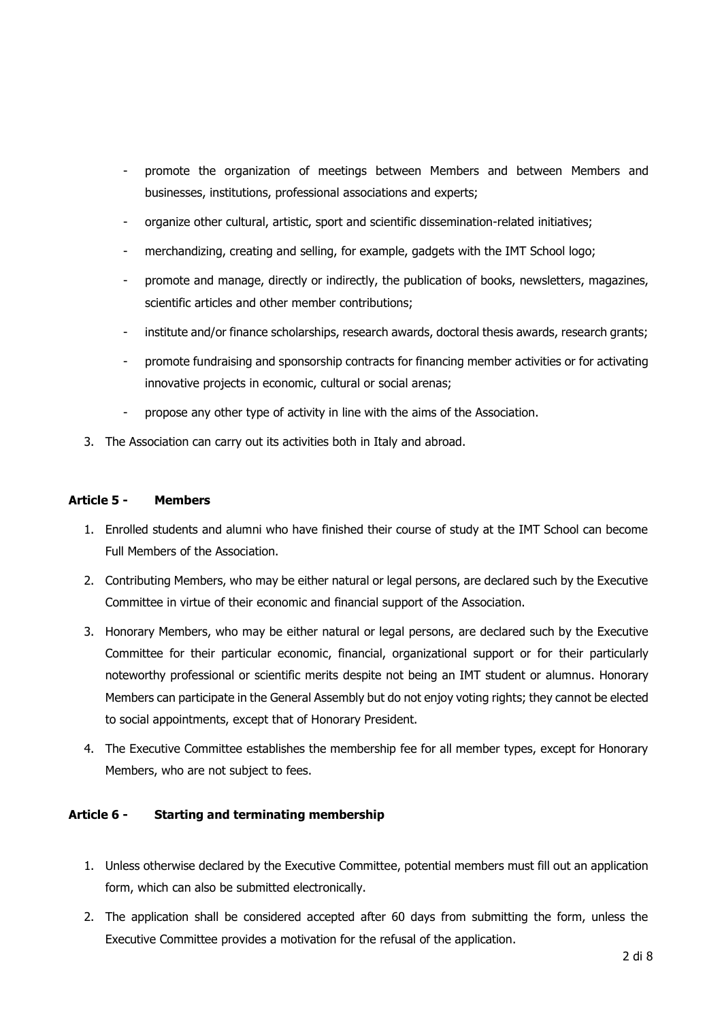- promote the organization of meetings between Members and between Members and businesses, institutions, professional associations and experts;
- organize other cultural, artistic, sport and scientific dissemination-related initiatives;
- merchandizing, creating and selling, for example, gadgets with the IMT School logo;
- promote and manage, directly or indirectly, the publication of books, newsletters, magazines, scientific articles and other member contributions;
- institute and/or finance scholarships, research awards, doctoral thesis awards, research grants;
- promote fundraising and sponsorship contracts for financing member activities or for activating innovative projects in economic, cultural or social arenas;
- propose any other type of activity in line with the aims of the Association.
- 3. The Association can carry out its activities both in Italy and abroad.

#### **Article 5 - Members**

- 1. Enrolled students and alumni who have finished their course of study at the IMT School can become Full Members of the Association.
- 2. Contributing Members, who may be either natural or legal persons, are declared such by the Executive Committee in virtue of their economic and financial support of the Association.
- 3. Honorary Members, who may be either natural or legal persons, are declared such by the Executive Committee for their particular economic, financial, organizational support or for their particularly noteworthy professional or scientific merits despite not being an IMT student or alumnus. Honorary Members can participate in the General Assembly but do not enjoy voting rights; they cannot be elected to social appointments, except that of Honorary President.
- 4. The Executive Committee establishes the membership fee for all member types, except for Honorary Members, who are not subject to fees.

#### **Article 6 - Starting and terminating membership**

- 1. Unless otherwise declared by the Executive Committee, potential members must fill out an application form, which can also be submitted electronically.
- 2. The application shall be considered accepted after 60 days from submitting the form, unless the Executive Committee provides a motivation for the refusal of the application.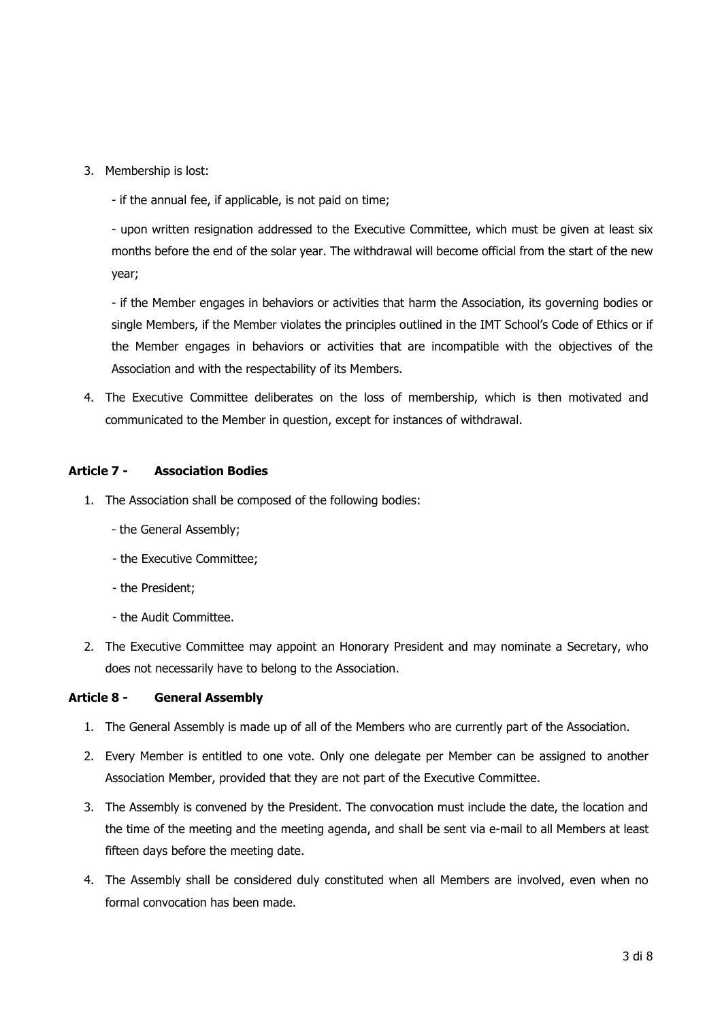- 3. Membership is lost:
	- if the annual fee, if applicable, is not paid on time;

- upon written resignation addressed to the Executive Committee, which must be given at least six months before the end of the solar year. The withdrawal will become official from the start of the new year;

- if the Member engages in behaviors or activities that harm the Association, its governing bodies or single Members, if the Member violates the principles outlined in the IMT School's Code of Ethics or if the Member engages in behaviors or activities that are incompatible with the objectives of the Association and with the respectability of its Members.

4. The Executive Committee deliberates on the loss of membership, which is then motivated and communicated to the Member in question, except for instances of withdrawal.

# **Article 7 - Association Bodies**

- 1. The Association shall be composed of the following bodies:
	- the General Assembly;
	- the Executive Committee;
	- the President;
	- the Audit Committee.
- 2. The Executive Committee may appoint an Honorary President and may nominate a Secretary, who does not necessarily have to belong to the Association.

#### **Article 8 - General Assembly**

- 1. The General Assembly is made up of all of the Members who are currently part of the Association.
- 2. Every Member is entitled to one vote. Only one delegate per Member can be assigned to another Association Member, provided that they are not part of the Executive Committee.
- 3. The Assembly is convened by the President. The convocation must include the date, the location and the time of the meeting and the meeting agenda, and shall be sent via e-mail to all Members at least fifteen days before the meeting date.
- 4. The Assembly shall be considered duly constituted when all Members are involved, even when no formal convocation has been made.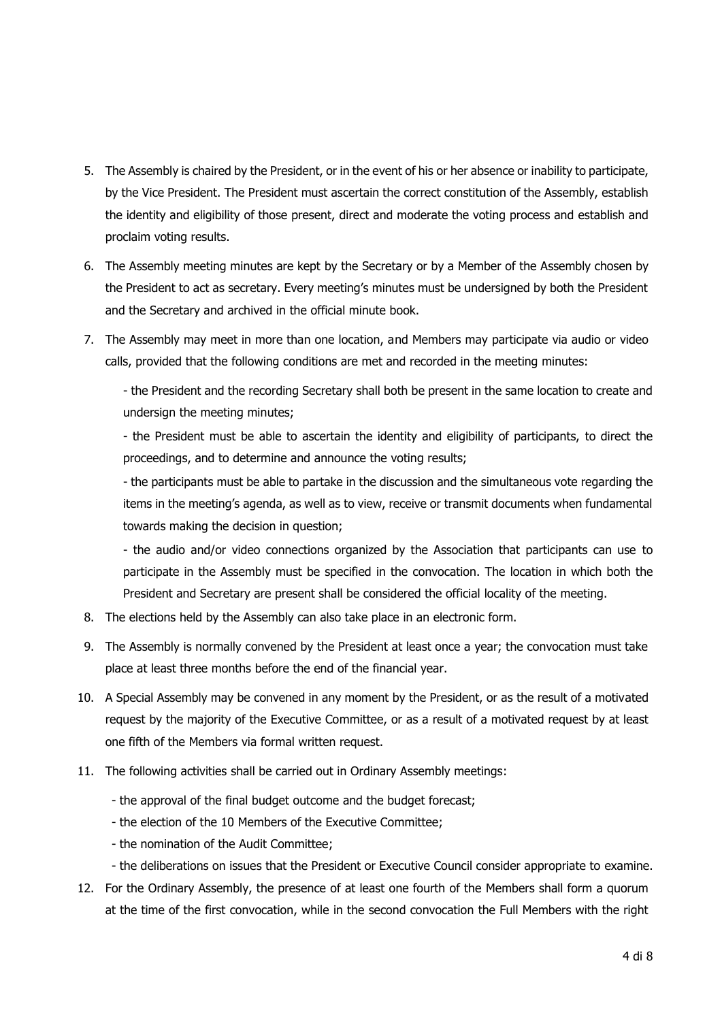- 5. The Assembly is chaired by the President, or in the event of his or her absence or inability to participate, by the Vice President. The President must ascertain the correct constitution of the Assembly, establish the identity and eligibility of those present, direct and moderate the voting process and establish and proclaim voting results.
- 6. The Assembly meeting minutes are kept by the Secretary or by a Member of the Assembly chosen by the President to act as secretary. Every meeting's minutes must be undersigned by both the President and the Secretary and archived in the official minute book.
- 7. The Assembly may meet in more than one location, and Members may participate via audio or video calls, provided that the following conditions are met and recorded in the meeting minutes:

- the President and the recording Secretary shall both be present in the same location to create and undersign the meeting minutes;

- the President must be able to ascertain the identity and eligibility of participants, to direct the proceedings, and to determine and announce the voting results;

- the participants must be able to partake in the discussion and the simultaneous vote regarding the items in the meeting's agenda, as well as to view, receive or transmit documents when fundamental towards making the decision in question;

- the audio and/or video connections organized by the Association that participants can use to participate in the Assembly must be specified in the convocation. The location in which both the President and Secretary are present shall be considered the official locality of the meeting.

- 8. The elections held by the Assembly can also take place in an electronic form.
- 9. The Assembly is normally convened by the President at least once a year; the convocation must take place at least three months before the end of the financial year.
- 10. A Special Assembly may be convened in any moment by the President, or as the result of a motivated request by the majority of the Executive Committee, or as a result of a motivated request by at least one fifth of the Members via formal written request.
- 11. The following activities shall be carried out in Ordinary Assembly meetings:
	- the approval of the final budget outcome and the budget forecast;
	- the election of the 10 Members of the Executive Committee;
	- the nomination of the Audit Committee;
	- the deliberations on issues that the President or Executive Council consider appropriate to examine.
- 12. For the Ordinary Assembly, the presence of at least one fourth of the Members shall form a quorum at the time of the first convocation, while in the second convocation the Full Members with the right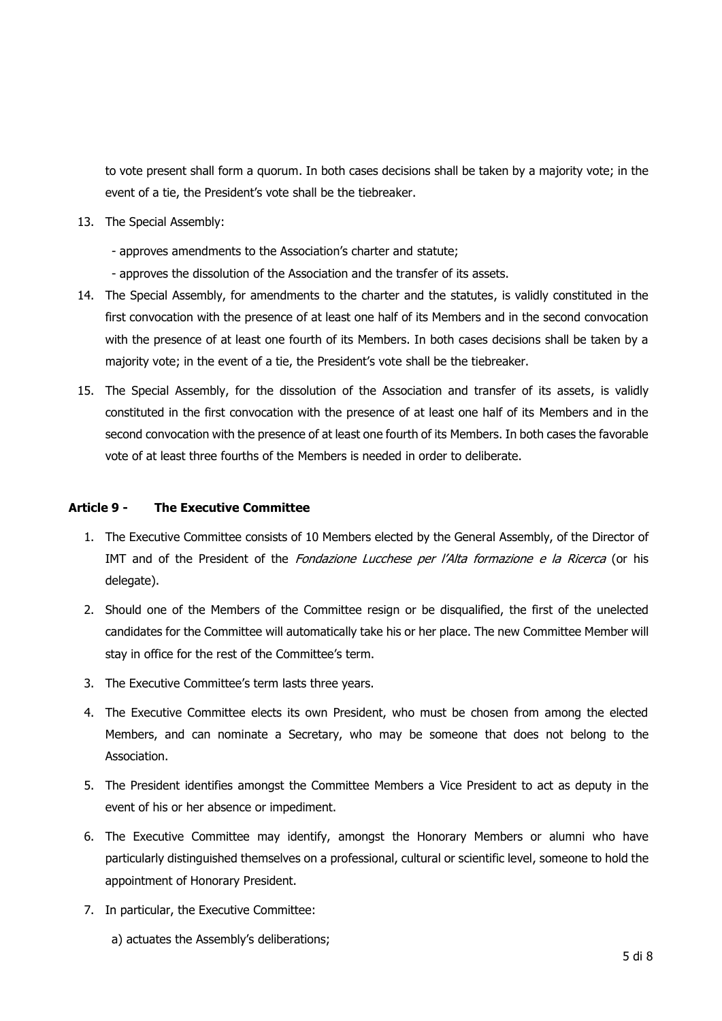to vote present shall form a quorum. In both cases decisions shall be taken by a majority vote; in the event of a tie, the President's vote shall be the tiebreaker.

- 13. The Special Assembly:
	- approves amendments to the Association's charter and statute;
	- approves the dissolution of the Association and the transfer of its assets.
- 14. The Special Assembly, for amendments to the charter and the statutes, is validly constituted in the first convocation with the presence of at least one half of its Members and in the second convocation with the presence of at least one fourth of its Members. In both cases decisions shall be taken by a majority vote; in the event of a tie, the President's vote shall be the tiebreaker.
- 15. The Special Assembly, for the dissolution of the Association and transfer of its assets, is validly constituted in the first convocation with the presence of at least one half of its Members and in the second convocation with the presence of at least one fourth of its Members. In both cases the favorable vote of at least three fourths of the Members is needed in order to deliberate.

## **Article 9 - The Executive Committee**

- 1. The Executive Committee consists of 10 Members elected by the General Assembly, of the Director of IMT and of the President of the Fondazione Lucchese per l'Alta formazione e la Ricerca (or his delegate).
- 2. Should one of the Members of the Committee resign or be disqualified, the first of the unelected candidates for the Committee will automatically take his or her place. The new Committee Member will stay in office for the rest of the Committee's term.
- 3. The Executive Committee's term lasts three years.
- 4. The Executive Committee elects its own President, who must be chosen from among the elected Members, and can nominate a Secretary, who may be someone that does not belong to the Association.
- 5. The President identifies amongst the Committee Members a Vice President to act as deputy in the event of his or her absence or impediment.
- 6. The Executive Committee may identify, amongst the Honorary Members or alumni who have particularly distinguished themselves on a professional, cultural or scientific level, someone to hold the appointment of Honorary President.
- 7. In particular, the Executive Committee:
	- a) actuates the Assembly's deliberations;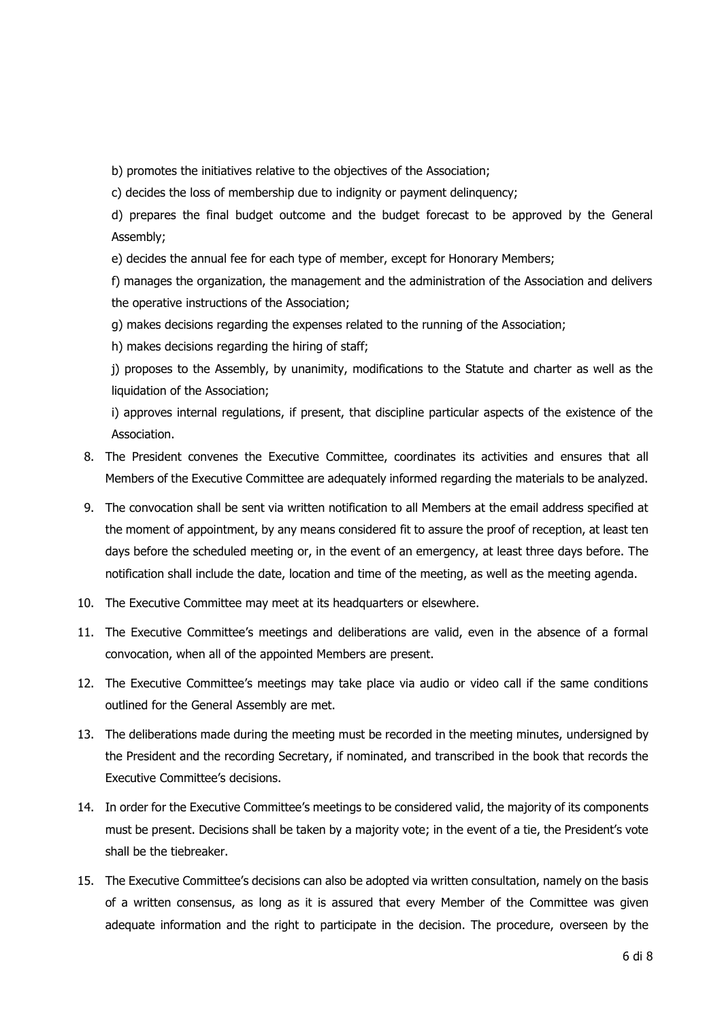b) promotes the initiatives relative to the objectives of the Association;

c) decides the loss of membership due to indignity or payment delinquency;

d) prepares the final budget outcome and the budget forecast to be approved by the General Assembly;

e) decides the annual fee for each type of member, except for Honorary Members;

f) manages the organization, the management and the administration of the Association and delivers the operative instructions of the Association;

g) makes decisions regarding the expenses related to the running of the Association;

h) makes decisions regarding the hiring of staff;

j) proposes to the Assembly, by unanimity, modifications to the Statute and charter as well as the liquidation of the Association;

i) approves internal regulations, if present, that discipline particular aspects of the existence of the Association.

- 8. The President convenes the Executive Committee, coordinates its activities and ensures that all Members of the Executive Committee are adequately informed regarding the materials to be analyzed.
- 9. The convocation shall be sent via written notification to all Members at the email address specified at the moment of appointment, by any means considered fit to assure the proof of reception, at least ten days before the scheduled meeting or, in the event of an emergency, at least three days before. The notification shall include the date, location and time of the meeting, as well as the meeting agenda.
- 10. The Executive Committee may meet at its headquarters or elsewhere.
- 11. The Executive Committee's meetings and deliberations are valid, even in the absence of a formal convocation, when all of the appointed Members are present.
- 12. The Executive Committee's meetings may take place via audio or video call if the same conditions outlined for the General Assembly are met.
- 13. The deliberations made during the meeting must be recorded in the meeting minutes, undersigned by the President and the recording Secretary, if nominated, and transcribed in the book that records the Executive Committee's decisions.
- 14. In order for the Executive Committee's meetings to be considered valid, the majority of its components must be present. Decisions shall be taken by a majority vote; in the event of a tie, the President's vote shall be the tiebreaker.
- 15. The Executive Committee's decisions can also be adopted via written consultation, namely on the basis of a written consensus, as long as it is assured that every Member of the Committee was given adequate information and the right to participate in the decision. The procedure, overseen by the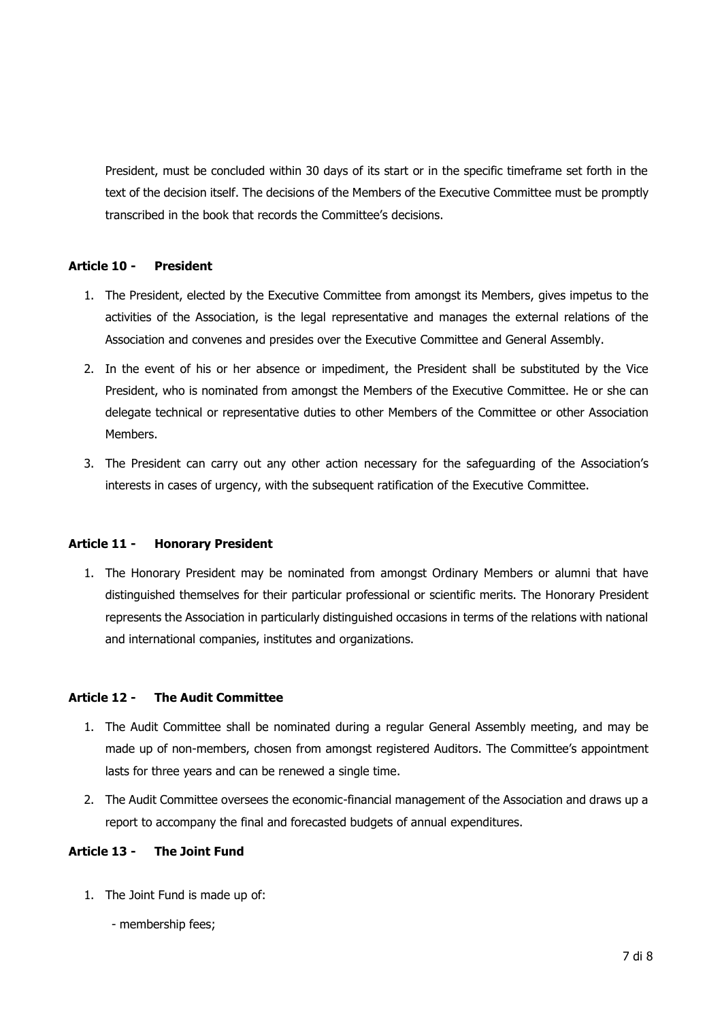President, must be concluded within 30 days of its start or in the specific timeframe set forth in the text of the decision itself. The decisions of the Members of the Executive Committee must be promptly transcribed in the book that records the Committee's decisions.

# **Article 10 - President**

- 1. The President, elected by the Executive Committee from amongst its Members, gives impetus to the activities of the Association, is the legal representative and manages the external relations of the Association and convenes and presides over the Executive Committee and General Assembly.
- 2. In the event of his or her absence or impediment, the President shall be substituted by the Vice President, who is nominated from amongst the Members of the Executive Committee. He or she can delegate technical or representative duties to other Members of the Committee or other Association Members.
- 3. The President can carry out any other action necessary for the safeguarding of the Association's interests in cases of urgency, with the subsequent ratification of the Executive Committee.

#### **Article 11 - Honorary President**

1. The Honorary President may be nominated from amongst Ordinary Members or alumni that have distinguished themselves for their particular professional or scientific merits. The Honorary President represents the Association in particularly distinguished occasions in terms of the relations with national and international companies, institutes and organizations.

#### **Article 12 - The Audit Committee**

- 1. The Audit Committee shall be nominated during a regular General Assembly meeting, and may be made up of non-members, chosen from amongst registered Auditors. The Committee's appointment lasts for three years and can be renewed a single time.
- 2. The Audit Committee oversees the economic-financial management of the Association and draws up a report to accompany the final and forecasted budgets of annual expenditures.

## **Article 13 - The Joint Fund**

- 1. The Joint Fund is made up of:
	- membership fees;